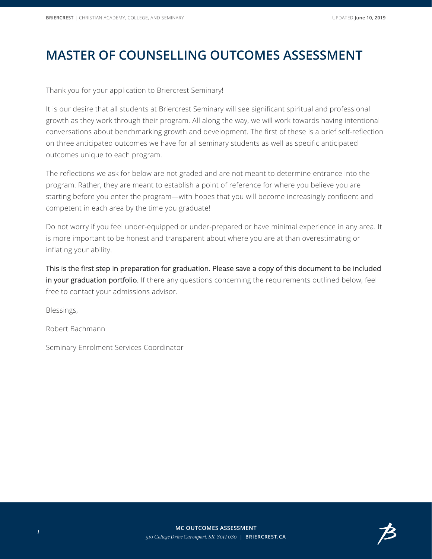## **MASTER OF COUNSELLING OUTCOMES ASSESSMENT**

Thank you for your application to Briercrest Seminary!

It is our desire that all students at Briercrest Seminary will see significant spiritual and professional growth as they work through their program. All along the way, we will work towards having intentional conversations about benchmarking growth and development. The first of these is a brief self-reflection on three anticipated outcomes we have for all seminary students as well as specific anticipated outcomes unique to each program.

The reflections we ask for below are not graded and are not meant to determine entrance into the program. Rather, they are meant to establish a point of reference for where you believe you are starting before you enter the program—with hopes that you will become increasingly confident and competent in each area by the time you graduate!

Do not worry if you feel under-equipped or under-prepared or have minimal experience in any area. It is more important to be honest and transparent about where you are at than overestimating or inflating your ability.

This is the first step in preparation for graduation. Please save a copy of this document to be included in your graduation portfolio. If there any questions concerning the requirements outlined below, feel free to contact your admissions advisor.

Blessings,

Robert Bachmann

Seminary Enrolment Services Coordinator

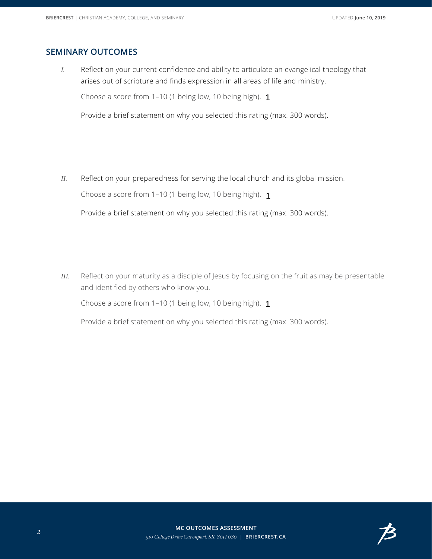## **SEMINARY OUTCOMES**

*I.* Reflect on your current confidence and ability to articulate an evangelical theology that arises out of scripture and finds expression in all areas of life and ministry.

Choose a score from 1–10 (1 being low, 10 being high). 1

Provide a brief statement on why you selected this rating (max. 300 words).

*II.* Reflect on your preparedness for serving the local church and its global mission.

Choose a score from 1–10 (1 being low, 10 being high). 1

 $\left| \cdot \right|$ 

Provide a brief statement on why you selected this rating (max. 300 words).

*III.* Reflect on your maturity as a disciple of Jesus by focusing on the fruit as may be presentable and identified by others who know you.

Choose a score from 1–10 (1 being low, 10 being high). 1



Provide a brief statement on why you selected this rating (max. 300 words).